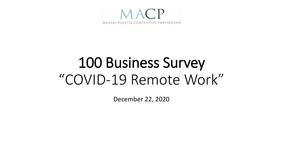

## 100 Business Survey "COVID-19 Remote Work"

December 22, 2020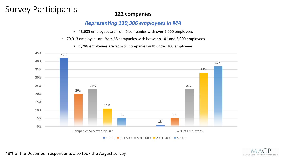### Survey Participants **122 companies**

#### *Representing 130,306 employees in MA*

- 48,605 employees are from 6 companies with over 5,000 employees
- 79,913 employees are from 65 companies with between 101 and 5,000 employees
	- 1,788 employees are from 51 companies with under 100 employees





48% of the December respondents also took the August survey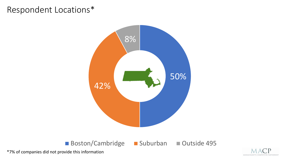#### Respondent Locations\*



Boston/Cambridge Suburban Outside 495



\*7% of companies did not provide this information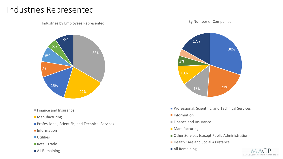#### Industries Represented

Industries by Employees Represented



- **Finance and Insurance**
- **Manufacturing**
- **Professional, Scientific, and Technical Services**
- Information
- **Utilities**
- **Retail Trade**
- All Remaining

#### By Number of Companies



- **Professional, Scientific, and Technical Services**
- Information
- Finance and Insurance
- **Manufacturing**
- Other Services (except Public Administration)
- **Health Care and Social Assistance**
- **All Remaining**

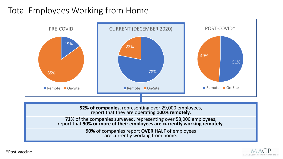#### Total Employees Working from Home



**90%** of companies report **OVER HALF** of employees are currently working from home.



\*Post-vaccine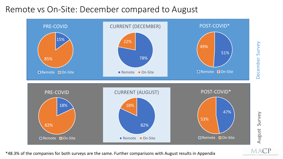#### Remote vs On-Site: December compared to August



\*48.3% of the companies for both surveys are the same. Further comparisons with August results in Appendix

MASSACHUSETTS COMPETITIVE PARTNERSHIP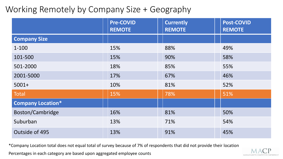#### Working Remotely by Company Size + Geography

|                          | <b>Pre-COVID</b><br><b>REMOTE</b> | <b>Currently</b><br><b>REMOTE</b> | <b>Post-COVID</b><br><b>REMOTE</b> |
|--------------------------|-----------------------------------|-----------------------------------|------------------------------------|
| <b>Company Size</b>      |                                   |                                   |                                    |
| $1 - 100$                | 15%                               | 88%                               | 49%                                |
| 101-500                  | 15%                               | 90%                               | 58%                                |
| 501-2000                 | 18%                               | 85%                               | 55%                                |
| 2001-5000                | 17%                               | 67%                               | 46%                                |
| $5001+$                  | 10%                               | 81%                               | 52%                                |
| Total                    | 15%                               | 78%                               | 51%                                |
| <b>Company Location*</b> |                                   |                                   |                                    |
| Boston/Cambridge         | 16%                               | 81%                               | 50%                                |
| Suburban                 | 13%                               | 71%                               | 54%                                |
| Outside of 495           | 13%                               | 91%                               | 45%                                |

\*Company Location total does not equal total of survey because of 7% of respondents that did not provide their location

Percentages in each category are based upon aggregated employee counts

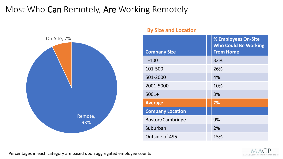### Most Who Can Remotely, Are Working Remotely



#### **By Size and Location**

|                         | % Employees On-Site<br><b>Who Could Be Working</b> |
|-------------------------|----------------------------------------------------|
| <b>Company Size</b>     | <b>From Home</b>                                   |
| $1 - 100$               | 32%                                                |
| 101-500                 | 26%                                                |
| 501-2000                | 4%                                                 |
| 2001-5000               | 10%                                                |
| $5001+$                 | 3%                                                 |
| <b>Average</b>          | 7%                                                 |
| <b>Company Location</b> |                                                    |
| Boston/Cambridge        | 9%                                                 |
| Suburban                | 2%                                                 |
| Outside of 495          | 15%                                                |

Percentages in each category are based upon aggregated employee counts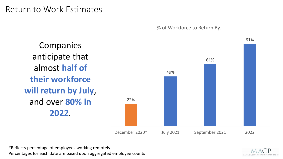#### Return to Work Estimates

% of Workforce to Return By…

22% 49% 61% 81% December 2020\* July 2021 September 2021 2022 **Companies** anticipate that almost **half of their workforce will return by July**, and over **80% in 2022**.

\*Reflects percentage of employees working remotely Percentages for each date are based upon aggregated employee counts

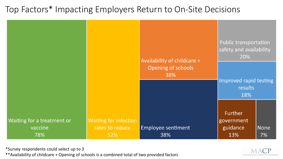#### Top Factors\* Impacting Employers Return to On-Site Decisions

|                                              |                                                        | Availability of childcare +      | <b>Public transportation</b><br>safety and availability<br>20% |            |
|----------------------------------------------|--------------------------------------------------------|----------------------------------|----------------------------------------------------------------|------------|
|                                              |                                                        | Opening of schools<br>38%        | Improved rapid testing<br>results<br>18%                       |            |
| Waiting for a treatment or<br>vaccine<br>78% | <b>Waiting for infection</b><br>rates to reduce<br>52% | <b>Employee sentiment</b><br>38% | <b>Further</b><br>government<br>guidance<br>13%                | None<br>7% |

\*Survey respondents could select up to 3

\*\*Availability of childcare + Opening of schools is a combined total of two provided factors

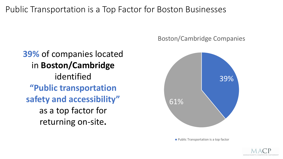Public Transportation is a Top Factor for Boston Businesses

**39%** of companies located in **Boston/Cambridge**  identified **"Public transportation safety and accessibility"**  as a top factor for returning on-site**.** 

#### Boston/Cambridge Companies



**Public Transportation is a top factor** 

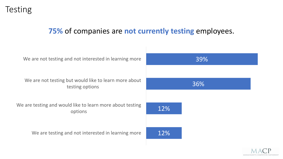#### **75%** of companies are **not currently testing** employees.



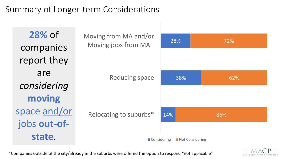### Summary of Longer-term Considerations

| 28% of                       | Moving from MA and/or<br>Moving jobs from MA | 28%             | 72% |
|------------------------------|----------------------------------------------|-----------------|-----|
| companies<br>report they     |                                              |                 |     |
| are<br>considering           | <b>Reducing space</b>                        | 38%             | 62% |
| moving                       |                                              |                 |     |
| space and/or<br>jobs out-of- | Relocating to suburbs*                       | 14%             | 86% |
| state.                       | ■ Considering                                | Not Considering |     |

\*Companies outside of the city/already in the suburbs were offered the option to respond "not applicable"

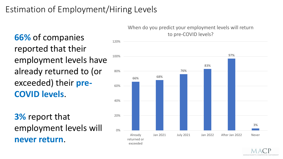### Estimation of Employment/Hiring Levels

to pre-COVID levels? **66%** of companies reported that their employment levels have already returned to (or exceeded) their **pre-COVID levels**.

**3%** report that employment levels will **never return**.

### When do you predict your employment levels will return



MASSACHUSETTS COMPETITIVE PARTNERSHI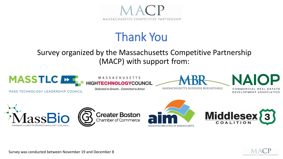

## Thank You

#### Survey organized by the Massachusetts Competitive Partnership (MACP) with support from:



**MASS TECHNOLOGY LEADERSHIP COUNCIL** 



Dedicated to Growth... Committed to Action



NAI

MASSACHUSETTS BUSINESS ROUNDTABLE

OMMERCIAL REAL DEVELOPMENT ASSOCIATION











Survey was conducted between November 19 and December 8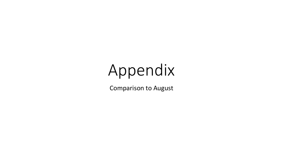# Appendix

Comparison to August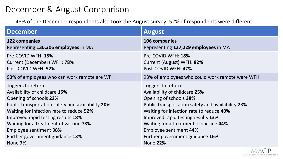#### December & August Comparison

48% of the December respondents also took the August survey; 52% of respondents were different

| <b>December</b>                                   | <b>August</b>                                     |
|---------------------------------------------------|---------------------------------------------------|
| 122 companies                                     | 106 companies                                     |
| Representing 130,306 employees in MA              | Representing 127,229 employees in MA              |
| Pre-COVID WFH: 15%                                | Pre-COVID WFH: 18%                                |
| Current (December) WFH: 78%                       | Current (August) WFH: 82%                         |
| Post-COVID WFH: 52%                               | Post-COVID WFH: 47%                               |
| 93% of employees who can work remote are WFH      | 98% of employees who could work remote were WFH   |
| Triggers to return:                               | Triggers to return:                               |
| Availability of childcare 15%                     | Availability of childcare 25%                     |
| Opening of schools 23%                            | Opening of schools 38%                            |
| Public transportation safety and availability 20% | Public transportation safety and availability 23% |
| Waiting for infection rate to reduce 52%          | Waiting for infection rate to reduce 40%          |
| Improved rapid testing results 18%                | Improved rapid testing results 13%                |
| Waiting for a treatment of vaccine 78%            | Waiting for a treatment of vaccine 44%            |
| <b>Employee sentiment 38%</b>                     | <b>Employee sentiment 44%</b>                     |
| Further government guidance 13%                   | Further government guidance 16%                   |
| None 7%                                           | <b>None 22%</b>                                   |